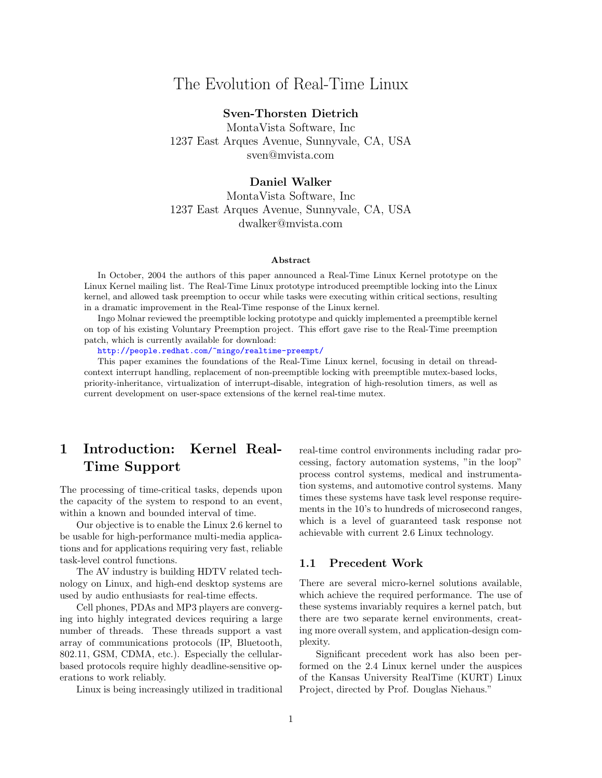# The Evolution of Real-Time Linux

# Sven-Thorsten Dietrich

MontaVista Software, Inc 1237 East Arques Avenue, Sunnyvale, CA, USA sven@mvista.com

# Daniel Walker

MontaVista Software, Inc 1237 East Arques Avenue, Sunnyvale, CA, USA dwalker@mvista.com

#### Abstract

In October, 2004 the authors of this paper announced a Real-Time Linux Kernel prototype on the Linux Kernel mailing list. The Real-Time Linux prototype introduced preemptible locking into the Linux kernel, and allowed task preemption to occur while tasks were executing within critical sections, resulting in a dramatic improvement in the Real-Time response of the Linux kernel.

Ingo Molnar reviewed the preemptible locking prototype and quickly implemented a preemptible kernel on top of his existing Voluntary Preemption project. This effort gave rise to the Real-Time preemption patch, which is currently available for download:

<http://people.redhat.com/~mingo/realtime-preempt/>

This paper examines the foundations of the Real-Time Linux kernel, focusing in detail on threadcontext interrupt handling, replacement of non-preemptible locking with preemptible mutex-based locks, priority-inheritance, virtualization of interrupt-disable, integration of high-resolution timers, as well as current development on user-space extensions of the kernel real-time mutex.

# 1 Introduction: Kernel Real-Time Support

The processing of time-critical tasks, depends upon the capacity of the system to respond to an event, within a known and bounded interval of time.

Our objective is to enable the Linux 2.6 kernel to be usable for high-performance multi-media applications and for applications requiring very fast, reliable task-level control functions.

The AV industry is building HDTV related technology on Linux, and high-end desktop systems are used by audio enthusiasts for real-time effects.

Cell phones, PDAs and MP3 players are converging into highly integrated devices requiring a large number of threads. These threads support a vast array of communications protocols (IP, Bluetooth, 802.11, GSM, CDMA, etc.). Especially the cellularbased protocols require highly deadline-sensitive operations to work reliably.

Linux is being increasingly utilized in traditional

real-time control environments including radar processing, factory automation systems, "in the loop" process control systems, medical and instrumentation systems, and automotive control systems. Many times these systems have task level response requirements in the 10's to hundreds of microsecond ranges, which is a level of guaranteed task response not achievable with current 2.6 Linux technology.

### 1.1 Precedent Work

There are several micro-kernel solutions available, which achieve the required performance. The use of these systems invariably requires a kernel patch, but there are two separate kernel environments, creating more overall system, and application-design complexity.

Significant precedent work has also been performed on the 2.4 Linux kernel under the auspices of the Kansas University RealTime (KURT) Linux Project, directed by Prof. Douglas Niehaus."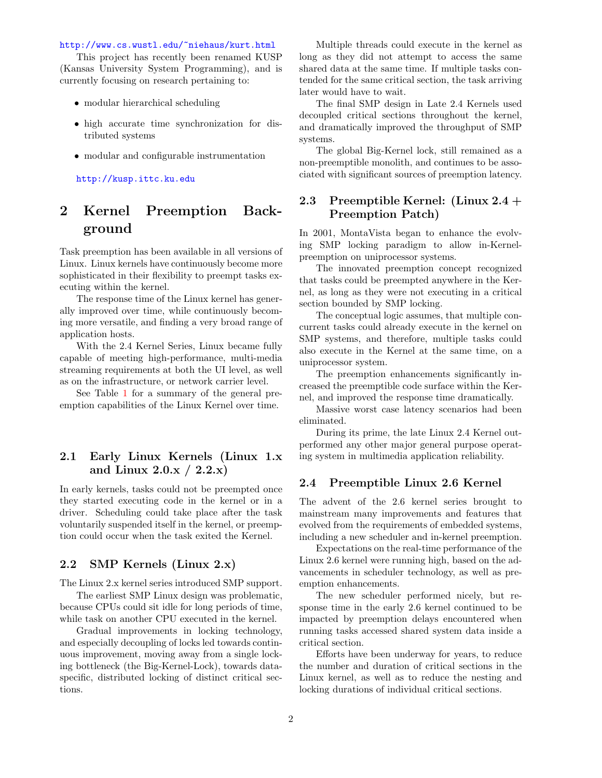#### <http://www.cs.wustl.edu/~niehaus/kurt.html>

This project has recently been renamed KUSP (Kansas University System Programming), and is currently focusing on research pertaining to:

- modular hierarchical scheduling
- high accurate time synchronization for distributed systems
- modular and configurable instrumentation

<http://kusp.ittc.ku.edu>

# 2 Kernel Preemption Background

Task preemption has been available in all versions of Linux. Linux kernels have continuously become more sophisticated in their flexibility to preempt tasks executing within the kernel.

The response time of the Linux kernel has generally improved over time, while continuously becoming more versatile, and finding a very broad range of application hosts.

With the 2.4 Kernel Series, Linux became fully capable of meeting high-performance, multi-media streaming requirements at both the UI level, as well as on the infrastructure, or network carrier level.

See Table [1](#page-2-0) for a summary of the general preemption capabilities of the Linux Kernel over time.

# 2.1 Early Linux Kernels (Linux 1.x and Linux  $2.0 \text{x} / 2.2 \text{x}$

In early kernels, tasks could not be preempted once they started executing code in the kernel or in a driver. Scheduling could take place after the task voluntarily suspended itself in the kernel, or preemption could occur when the task exited the Kernel.

# 2.2 SMP Kernels (Linux 2.x)

The Linux 2.x kernel series introduced SMP support.

The earliest SMP Linux design was problematic, because CPUs could sit idle for long periods of time, while task on another CPU executed in the kernel.

Gradual improvements in locking technology, and especially decoupling of locks led towards continuous improvement, moving away from a single locking bottleneck (the Big-Kernel-Lock), towards dataspecific, distributed locking of distinct critical sections.

Multiple threads could execute in the kernel as long as they did not attempt to access the same shared data at the same time. If multiple tasks contended for the same critical section, the task arriving later would have to wait.

The final SMP design in Late 2.4 Kernels used decoupled critical sections throughout the kernel, and dramatically improved the throughput of SMP systems.

The global Big-Kernel lock, still remained as a non-preemptible monolith, and continues to be associated with significant sources of preemption latency.

# 2.3 Preemptible Kernel: (Linux 2.4 + Preemption Patch)

In 2001, MontaVista began to enhance the evolving SMP locking paradigm to allow in-Kernelpreemption on uniprocessor systems.

The innovated preemption concept recognized that tasks could be preempted anywhere in the Kernel, as long as they were not executing in a critical section bounded by SMP locking.

The conceptual logic assumes, that multiple concurrent tasks could already execute in the kernel on SMP systems, and therefore, multiple tasks could also execute in the Kernel at the same time, on a uniprocessor system.

The preemption enhancements significantly increased the preemptible code surface within the Kernel, and improved the response time dramatically.

Massive worst case latency scenarios had been eliminated.

During its prime, the late Linux 2.4 Kernel outperformed any other major general purpose operating system in multimedia application reliability.

### 2.4 Preemptible Linux 2.6 Kernel

The advent of the 2.6 kernel series brought to mainstream many improvements and features that evolved from the requirements of embedded systems, including a new scheduler and in-kernel preemption.

Expectations on the real-time performance of the Linux 2.6 kernel were running high, based on the advancements in scheduler technology, as well as preemption enhancements.

The new scheduler performed nicely, but response time in the early 2.6 kernel continued to be impacted by preemption delays encountered when running tasks accessed shared system data inside a critical section.

Efforts have been underway for years, to reduce the number and duration of critical sections in the Linux kernel, as well as to reduce the nesting and locking durations of individual critical sections.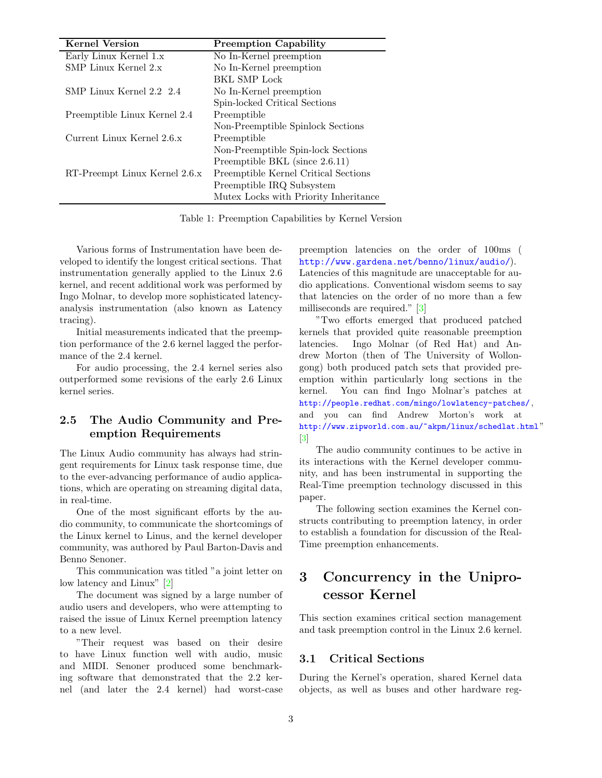| <b>Kernel Version</b>         | <b>Preemption Capability</b>          |
|-------------------------------|---------------------------------------|
| Early Linux Kernel 1.x        | No In-Kernel preemption               |
| SMP Linux Kernel 2.x          | No In-Kernel preemption               |
|                               | <b>BKL SMP Lock</b>                   |
| SMP Linux Kernel 2.2 2.4      | No In-Kernel preemption               |
|                               | Spin-locked Critical Sections         |
| Preemptible Linux Kernel 2.4  | Preemptible                           |
|                               | Non-Preemptible Spinlock Sections     |
| Current Linux Kernel 2.6.x    | Preemptible                           |
|                               | Non-Preemptible Spin-lock Sections    |
|                               | Preemptible BKL (since 2.6.11)        |
| RT-Preempt Linux Kernel 2.6.x | Preemptible Kernel Critical Sections  |
|                               | Preemptible IRQ Subsystem             |
|                               | Mutex Locks with Priority Inheritance |

<span id="page-2-0"></span>Table 1: Preemption Capabilities by Kernel Version

Various forms of Instrumentation have been developed to identify the longest critical sections. That instrumentation generally applied to the Linux 2.6 kernel, and recent additional work was performed by Ingo Molnar, to develop more sophisticated latencyanalysis instrumentation (also known as Latency tracing).

Initial measurements indicated that the preemption performance of the 2.6 kernel lagged the performance of the 2.4 kernel.

For audio processing, the 2.4 kernel series also outperformed some revisions of the early 2.6 Linux kernel series.

# 2.5 The Audio Community and Preemption Requirements

The Linux Audio community has always had stringent requirements for Linux task response time, due to the ever-advancing performance of audio applications, which are operating on streaming digital data, in real-time.

One of the most significant efforts by the audio community, to communicate the shortcomings of the Linux kernel to Linus, and the kernel developer community, was authored by Paul Barton-Davis and Benno Senoner.

This communication was titled "a joint letter on low latency and Linux" [\[2\]](#page-17-0)

The document was signed by a large number of audio users and developers, who were attempting to raised the issue of Linux Kernel preemption latency to a new level.

"Their request was based on their desire to have Linux function well with audio, music and MIDI. Senoner produced some benchmarking software that demonstrated that the 2.2 kernel (and later the 2.4 kernel) had worst-case preemption latencies on the order of 100ms ( <http://www.gardena.net/benno/linux/audio/>). Latencies of this magnitude are unacceptable for audio applications. Conventional wisdom seems to say that latencies on the order of no more than a few milliseconds are required." [\[3\]](#page-17-1)

"Two efforts emerged that produced patched kernels that provided quite reasonable preemption latencies. Ingo Molnar (of Red Hat) and Andrew Morton (then of The University of Wollongong) both produced patch sets that provided preemption within particularly long sections in the kernel. You can find Ingo Molnar's patches at <http://people.redhat.com/mingo/lowlatency-patches/> , and you can find Andrew Morton's work at <http://www.zipworld.com.au/~akpm/linux/schedlat.html>"  $\left|3\right|$ 

The audio community continues to be active in its interactions with the Kernel developer community, and has been instrumental in supporting the Real-Time preemption technology discussed in this paper.

The following section examines the Kernel constructs contributing to preemption latency, in order to establish a foundation for discussion of the Real-Time preemption enhancements.

# 3 Concurrency in the Uniprocessor Kernel

This section examines critical section management and task preemption control in the Linux 2.6 kernel.

# 3.1 Critical Sections

During the Kernel's operation, shared Kernel data objects, as well as buses and other hardware reg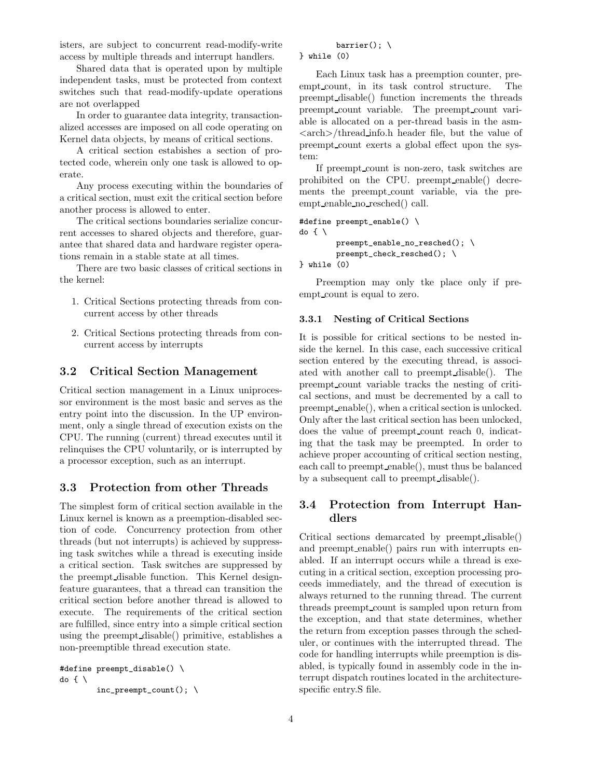isters, are subject to concurrent read-modify-write access by multiple threads and interrupt handlers.

Shared data that is operated upon by multiple independent tasks, must be protected from context switches such that read-modify-update operations are not overlapped

In order to guarantee data integrity, transactionalized accesses are imposed on all code operating on Kernel data objects, by means of critical sections.

A critical section estabishes a section of protected code, wherein only one task is allowed to operate.

Any process executing within the boundaries of a critical section, must exit the critical section before another process is allowed to enter.

The critical sections boundaries serialize concurrent accesses to shared objects and therefore, guarantee that shared data and hardware register operations remain in a stable state at all times.

There are two basic classes of critical sections in the kernel:

- 1. Critical Sections protecting threads from concurrent access by other threads
- 2. Critical Sections protecting threads from concurrent access by interrupts

# 3.2 Critical Section Management

Critical section management in a Linux uniprocessor environment is the most basic and serves as the entry point into the discussion. In the UP environment, only a single thread of execution exists on the CPU. The running (current) thread executes until it relinquises the CPU voluntarily, or is interrupted by a processor exception, such as an interrupt.

## 3.3 Protection from other Threads

The simplest form of critical section available in the Linux kernel is known as a preemption-disabled section of code. Concurrency protection from other threads (but not interrupts) is achieved by suppressing task switches while a thread is executing inside a critical section. Task switches are suppressed by the preempt disable function. This Kernel designfeature guarantees, that a thread can transition the critical section before another thread is allowed to execute. The requirements of the critical section are fulfilled, since entry into a simple critical section using the preempt disable() primitive, establishes a non-preemptible thread execution state.

```
#define preempt_disable() \
do { \
        inc\_preempt\_count(); \
```
# barrier();  $\setminus$

} while (0)

Each Linux task has a preemption counter, preempt count, in its task control structure. The preempt disable() function increments the threads preempt count variable. The preempt count variable is allocated on a per-thread basis in the asm-  $\langle \text{arch}\rangle/\text{thread}$  info.h header file, but the value of preempt count exerts a global effect upon the system:

If preempt count is non-zero, task switches are prohibited on the CPU. preempt enable() decrements the preempt count variable, via the preempt\_enable\_no\_resched() call.

```
#define preempt_enable() \
do { \
        preempt_enable_no_resched(); \
        preempt_check_resched(); \
```

```
} while (0)
```
Preemption may only tke place only if preempt count is equal to zero.

### 3.3.1 Nesting of Critical Sections

It is possible for critical sections to be nested inside the kernel. In this case, each successive critical section entered by the executing thread, is associated with another call to preempt disable(). The preempt count variable tracks the nesting of critical sections, and must be decremented by a call to preempt enable(), when a critical section is unlocked. Only after the last critical section has been unlocked, does the value of preempt count reach 0, indicating that the task may be preempted. In order to achieve proper accounting of critical section nesting, each call to preempt enable(), must thus be balanced by a subsequent call to preempt disable().

# 3.4 Protection from Interrupt Handlers

Critical sections demarcated by preempt disable() and preempt enable() pairs run with interrupts enabled. If an interrupt occurs while a thread is executing in a critical section, exception processing proceeds immediately, and the thread of execution is always returned to the running thread. The current threads preempt count is sampled upon return from the exception, and that state determines, whether the return from exception passes through the scheduler, or continues with the interrupted thread. The code for handling interrupts while preemption is disabled, is typically found in assembly code in the interrupt dispatch routines located in the architecturespecific entry.S file.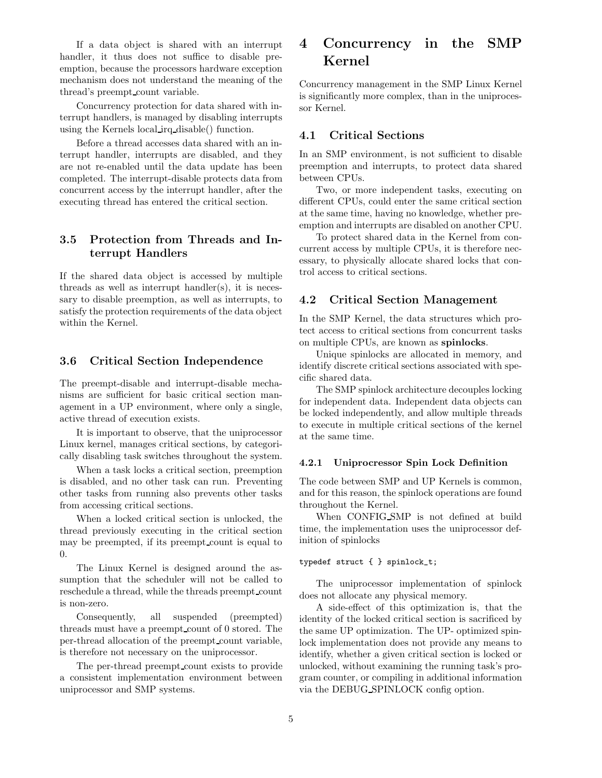If a data object is shared with an interrupt handler, it thus does not suffice to disable preemption, because the processors hardware exception mechanism does not understand the meaning of the thread's preempt count variable.

Concurrency protection for data shared with interrupt handlers, is managed by disabling interrupts using the Kernels local irq disable() function.

Before a thread accesses data shared with an interrupt handler, interrupts are disabled, and they are not re-enabled until the data update has been completed. The interrupt-disable protects data from concurrent access by the interrupt handler, after the executing thread has entered the critical section.

# 3.5 Protection from Threads and Interrupt Handlers

If the shared data object is accessed by multiple threads as well as interrupt handler $(s)$ , it is necessary to disable preemption, as well as interrupts, to satisfy the protection requirements of the data object within the Kernel.

### 3.6 Critical Section Independence

The preempt-disable and interrupt-disable mechanisms are sufficient for basic critical section management in a UP environment, where only a single, active thread of execution exists.

It is important to observe, that the uniprocessor Linux kernel, manages critical sections, by categorically disabling task switches throughout the system.

When a task locks a critical section, preemption is disabled, and no other task can run. Preventing other tasks from running also prevents other tasks from accessing critical sections.

When a locked critical section is unlocked, the thread previously executing in the critical section may be preempted, if its preempt count is equal to 0.

The Linux Kernel is designed around the assumption that the scheduler will not be called to reschedule a thread, while the threads preempt count is non-zero.

Consequently, all suspended (preempted) threads must have a preempt count of 0 stored. The per-thread allocation of the preempt count variable, is therefore not necessary on the uniprocessor.

The per-thread preempt count exists to provide a consistent implementation environment between uniprocessor and SMP systems.

# 4 Concurrency in the SMP Kernel

Concurrency management in the SMP Linux Kernel is significantly more complex, than in the uniprocessor Kernel.

# 4.1 Critical Sections

In an SMP environment, is not sufficient to disable preemption and interrupts, to protect data shared between CPUs.

Two, or more independent tasks, executing on different CPUs, could enter the same critical section at the same time, having no knowledge, whether preemption and interrupts are disabled on another CPU.

To protect shared data in the Kernel from concurrent access by multiple CPUs, it is therefore necessary, to physically allocate shared locks that control access to critical sections.

## 4.2 Critical Section Management

In the SMP Kernel, the data structures which protect access to critical sections from concurrent tasks on multiple CPUs, are known as spinlocks.

Unique spinlocks are allocated in memory, and identify discrete critical sections associated with specific shared data.

The SMP spinlock architecture decouples locking for independent data. Independent data objects can be locked independently, and allow multiple threads to execute in multiple critical sections of the kernel at the same time.

### 4.2.1 Uniprocressor Spin Lock Definition

The code between SMP and UP Kernels is common, and for this reason, the spinlock operations are found throughout the Kernel.

When CONFIG SMP is not defined at build time, the implementation uses the uniprocessor definition of spinlocks

#### typedef struct { } spinlock\_t;

The uniprocessor implementation of spinlock does not allocate any physical memory.

A side-effect of this optimization is, that the identity of the locked critical section is sacrificed by the same UP optimization. The UP- optimized spinlock implementation does not provide any means to identify, whether a given critical section is locked or unlocked, without examining the running task's program counter, or compiling in additional information via the DEBUG SPINLOCK config option.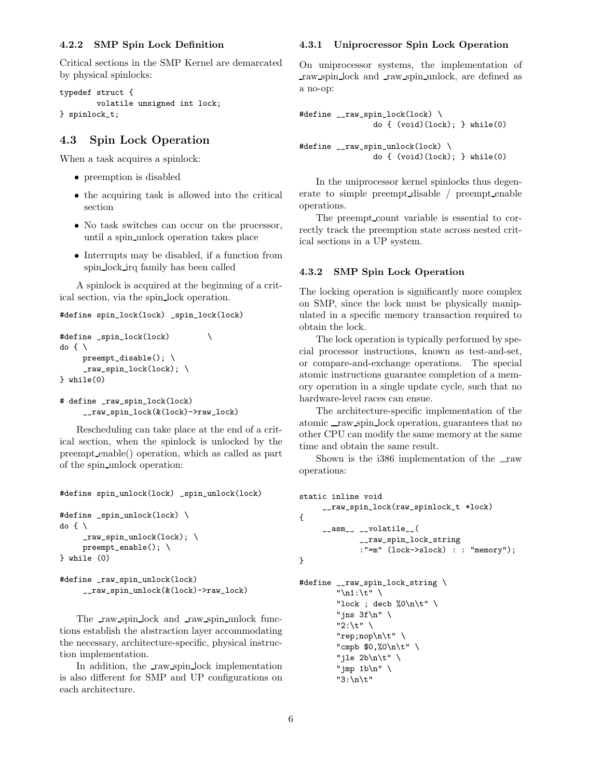#### 4.2.2 SMP Spin Lock Definition

Critical sections in the SMP Kernel are demarcated by physical spinlocks:

```
typedef struct {
        volatile unsigned int lock;
} spinlock_t;
```
### 4.3 Spin Lock Operation

When a task acquires a spinlock:

- preemption is disabled
- the acquiring task is allowed into the critical section
- No task switches can occur on the processor, until a spin unlock operation takes place
- Interrupts may be disabled, if a function from spin lock irq family has been called

A spinlock is acquired at the beginning of a critical section, via the spin lock operation.

```
#define spin_lock(lock) _spin_lock(lock)
```

```
#define _spin_lock(lock) \
d \circ f \setminuspreempt_disable(); \
     _raw_spin_lock(lock); \
} while(0)
```

```
# define _raw_spin_lock(lock)
     __raw_spin_lock(&(lock)->raw_lock)
```
Rescheduling can take place at the end of a critical section, when the spinlock is unlocked by the preempt enable() operation, which as called as part of the spin unlock operation:

```
#define spin_unlock(lock) _spin_unlock(lock)
```

```
#define _spin_unlock(lock) \
do f \setminus_raw_spin_unlock(lock); \
     preempt_enable(); \
} while (0)
```

```
#define _raw_spin_unlock(lock)
     __raw_spin_unlock(&(lock)->raw_lock)
```
The raw spin lock and raw spin unlock functions establish the abstraction layer accommodating the necessary, architecture-specific, physical instruction implementation.

In addition, the raw spin lock implementation is also different for SMP and UP configurations on each architecture.

#### 4.3.1 Uniprocressor Spin Lock Operation

On uniprocessor systems, the implementation of raw spin lock and raw spin unlock, are defined as a no-op:

```
#define __raw_spin_lock(lock) \
                do { (void)(lock); } while(0)
#define __raw_spin_unlock(lock) \
                do { (void)(lock); } while(0)
```
In the uniprocessor kernel spinlocks thus degenerate to simple preempt disable / preempt enable operations.

The preempt count variable is essential to correctly track the preemption state across nested critical sections in a UP system.

#### 4.3.2 SMP Spin Lock Operation

The locking operation is significantly more complex on SMP, since the lock must be physically manipulated in a specific memory transaction required to obtain the lock.

The lock operation is typically performed by special processor instructions, known as test-and-set, or compare-and-exchange operations. The special atomic instructions guarantee completion of a memory operation in a single update cycle, such that no hardware-level races can ensue.

The architecture-specific implementation of the atomic raw spin lock operation, guarantees that no other CPU can modify the same memory at the same time and obtain the same result.

Shown is the i386 implementation of the raw operations:

```
static inline void
     __raw_spin_lock(raw_spinlock_t *lock)
{
     __asm__ __volatile__(
             __raw_spin_lock_string
             :"=m" (lock->slock) : : "memory");
}
#define __raw_spin_lock_string \
```

```
"\n1:\t" \
"lock ; decb %0\n\t" \
"jns 3f\ln" \setminus"2:\t" \
"rep;nop\n\t" \
"cmpb $0,%0\n\t" \
"jle 2b\n\t" \
"jmp 1b\ln" \ \n"3:\n\t"
```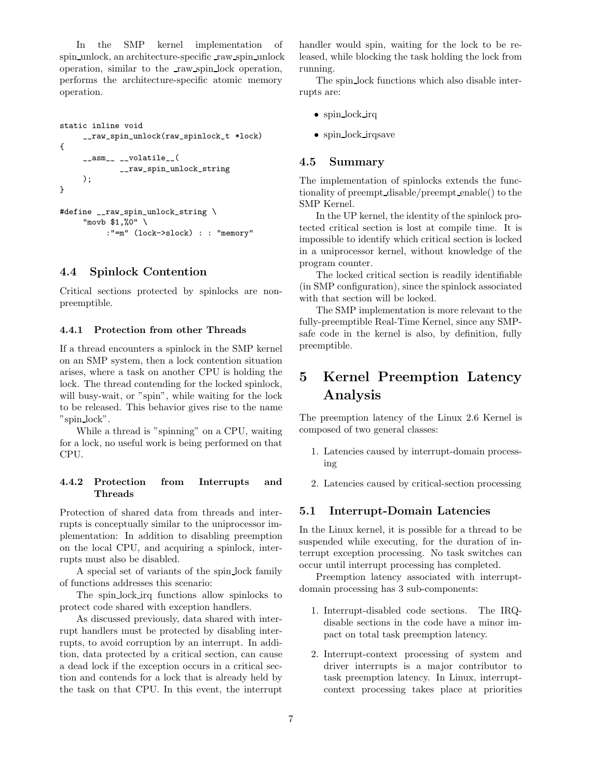In the SMP kernel implementation of spin unlock, an architecture-specific raw spin unlock operation, similar to the raw spin lock operation, performs the architecture-specific atomic memory operation.

```
static inline void
     __raw_spin_unlock(raw_spinlock_t *lock)
{
     __asm__ __volatile__(
             __raw_spin_unlock_string
     );
}
```

```
#define __raw_spin_unlock_string \
     "movb $1,%0" \
          :"=m" (lock->slock) : : "memory"
```
### 4.4 Spinlock Contention

Critical sections protected by spinlocks are nonpreemptible.

#### 4.4.1 Protection from other Threads

If a thread encounters a spinlock in the SMP kernel on an SMP system, then a lock contention situation arises, where a task on another CPU is holding the lock. The thread contending for the locked spinlock, will busy-wait, or "spin", while waiting for the lock to be released. This behavior gives rise to the name "spin lock".

While a thread is "spinning" on a CPU, waiting for a lock, no useful work is being performed on that CPU.

### 4.4.2 Protection from Interrupts and Threads

Protection of shared data from threads and interrupts is conceptually similar to the uniprocessor implementation: In addition to disabling preemption on the local CPU, and acquiring a spinlock, interrupts must also be disabled.

A special set of variants of the spin lock family of functions addresses this scenario:

The spin-lock irq functions allow spinlocks to protect code shared with exception handlers.

As discussed previously, data shared with interrupt handlers must be protected by disabling interrupts, to avoid corruption by an interrupt. In addition, data protected by a critical section, can cause a dead lock if the exception occurs in a critical section and contends for a lock that is already held by the task on that CPU. In this event, the interrupt handler would spin, waiting for the lock to be released, while blocking the task holding the lock from running.

The spin lock functions which also disable interrupts are:

- spin\_lock\_irq
- spin lock irqsave

### 4.5 Summary

The implementation of spinlocks extends the functionality of preempt disable/preempt enable() to the SMP Kernel.

In the UP kernel, the identity of the spinlock protected critical section is lost at compile time. It is impossible to identify which critical section is locked in a uniprocessor kernel, without knowledge of the program counter.

The locked critical section is readily identifiable (in SMP configuration), since the spinlock associated with that section will be locked.

The SMP implementation is more relevant to the fully-preemptible Real-Time Kernel, since any SMPsafe code in the kernel is also, by definition, fully preemptible.

# 5 Kernel Preemption Latency Analysis

The preemption latency of the Linux 2.6 Kernel is composed of two general classes:

- 1. Latencies caused by interrupt-domain processing
- 2. Latencies caused by critical-section processing

## 5.1 Interrupt-Domain Latencies

In the Linux kernel, it is possible for a thread to be suspended while executing, for the duration of interrupt exception processing. No task switches can occur until interrupt processing has completed.

Preemption latency associated with interruptdomain processing has 3 sub-components:

- 1. Interrupt-disabled code sections. The IRQdisable sections in the code have a minor impact on total task preemption latency.
- 2. Interrupt-context processing of system and driver interrupts is a major contributor to task preemption latency. In Linux, interruptcontext processing takes place at priorities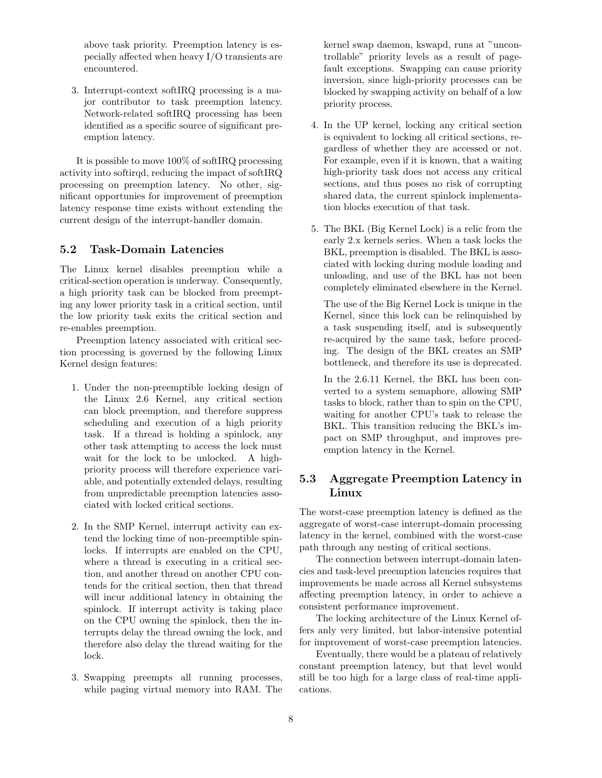above task priority. Preemption latency is especially affected when heavy I/O transients are encountered.

3. Interrupt-context softIRQ processing is a major contributor to task preemption latency. Network-related softIRQ processing has been identified as a specific source of significant preemption latency.

It is possible to move 100% of softIRQ processing activity into softirqd, reducing the impact of softIRQ processing on preemption latency. No other, significant opportunies for improvement of preemption latency response time exists without extending the current design of the interrupt-handler domain.

## 5.2 Task-Domain Latencies

The Linux kernel disables preemption while a critical-section operation is underway. Consequently, a high priority task can be blocked from preempting any lower priority task in a critical section, until the low priority task exits the critical section and re-enables preemption.

Preemption latency associated with critical section processing is governed by the following Linux Kernel design features:

- 1. Under the non-preemptible locking design of the Linux 2.6 Kernel, any critical section can block preemption, and therefore suppress scheduling and execution of a high priority task. If a thread is holding a spinlock, any other task attempting to access the lock must wait for the lock to be unlocked. A highpriority process will therefore experience variable, and potentially extended delays, resulting from unpredictable preemption latencies associated with locked critical sections.
- 2. In the SMP Kernel, interrupt activity can extend the locking time of non-preemptible spinlocks. If interrupts are enabled on the CPU, where a thread is executing in a critical section, and another thread on another CPU contends for the critical section, then that thread will incur additional latency in obtaining the spinlock. If interrupt activity is taking place on the CPU owning the spinlock, then the interrupts delay the thread owning the lock, and therefore also delay the thread waiting for the lock.
- 3. Swapping preempts all running processes, while paging virtual memory into RAM. The

kernel swap daemon, kswapd, runs at "uncontrollable" priority levels as a result of pagefault exceptions. Swapping can cause priority inversion, since high-priority processes can be blocked by swapping activity on behalf of a low priority process.

- 4. In the UP kernel, locking any critical section is equivalent to locking all critical sections, regardless of whether they are accessed or not. For example, even if it is known, that a waiting high-priority task does not access any critical sections, and thus poses no risk of corrupting shared data, the current spinlock implementation blocks execution of that task.
- 5. The BKL (Big Kernel Lock) is a relic from the early 2.x kernels series. When a task locks the BKL, preemption is disabled. The BKL is associated with locking during module loading and unloading, and use of the BKL has not been completely eliminated elsewhere in the Kernel.

The use of the Big Kernel Lock is unique in the Kernel, since this lock can be relinquished by a task suspending itself, and is subsequently re-acquired by the same task, before proceding. The design of the BKL creates an SMP bottleneck, and therefore its use is deprecated.

In the 2.6.11 Kernel, the BKL has been converted to a system semaphore, allowing SMP tasks to block, rather than to spin on the CPU, waiting for another CPU's task to release the BKL. This transition reducing the BKL's impact on SMP throughput, and improves preemption latency in the Kernel.

# 5.3 Aggregate Preemption Latency in Linux

The worst-case preemption latency is defined as the aggregate of worst-case interrupt-domain processing latency in the kernel, combined with the worst-case path through any nesting of critical sections.

The connection between interrupt-domain latencies and task-level preemption latencies requires that improvements be made across all Kernel subsystems affecting preemption latency, in order to achieve a consistent performance improvement.

The locking architecture of the Linux Kernel offers anly very limited, but labor-intensive potential for improvement of worst-case preemption latencies.

Eventually, there would be a plateau of relatively constant preemption latency, but that level would still be too high for a large class of real-time applications.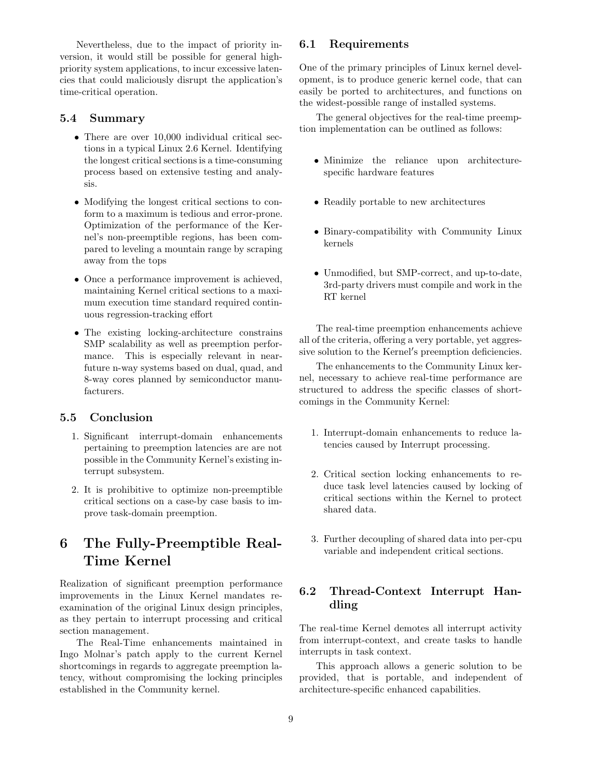Nevertheless, due to the impact of priority inversion, it would still be possible for general highpriority system applications, to incur excessive latencies that could maliciously disrupt the application's time-critical operation.

## 5.4 Summary

- There are over 10,000 individual critical sections in a typical Linux 2.6 Kernel. Identifying the longest critical sections is a time-consuming process based on extensive testing and analysis.
- Modifying the longest critical sections to conform to a maximum is tedious and error-prone. Optimization of the performance of the Kernel's non-preemptible regions, has been compared to leveling a mountain range by scraping away from the tops
- Once a performance improvement is achieved, maintaining Kernel critical sections to a maximum execution time standard required continuous regression-tracking effort
- The existing locking-architecture constrains SMP scalability as well as preemption performance. This is especially relevant in nearfuture n-way systems based on dual, quad, and 8-way cores planned by semiconductor manufacturers.

## 5.5 Conclusion

- 1. Significant interrupt-domain enhancements pertaining to preemption latencies are are not possible in the Community Kernel's existing interrupt subsystem.
- 2. It is prohibitive to optimize non-preemptible critical sections on a case-by case basis to improve task-domain preemption.

# 6 The Fully-Preemptible Real-Time Kernel

Realization of significant preemption performance improvements in the Linux Kernel mandates reexamination of the original Linux design principles, as they pertain to interrupt processing and critical section management.

The Real-Time enhancements maintained in Ingo Molnar's patch apply to the current Kernel shortcomings in regards to aggregate preemption latency, without compromising the locking principles established in the Community kernel.

# 6.1 Requirements

One of the primary principles of Linux kernel development, is to produce generic kernel code, that can easily be ported to architectures, and functions on the widest-possible range of installed systems.

The general objectives for the real-time preemption implementation can be outlined as follows:

- Minimize the reliance upon architecturespecific hardware features
- Readily portable to new architectures
- Binary-compatibility with Community Linux kernels
- Unmodified, but SMP-correct, and up-to-date, 3rd-party drivers must compile and work in the RT kernel

The real-time preemption enhancements achieve all of the criteria, offering a very portable, yet aggressive solution to the Kernel's preemption deficiencies.

The enhancements to the Community Linux kernel, necessary to achieve real-time performance are structured to address the specific classes of shortcomings in the Community Kernel:

- 1. Interrupt-domain enhancements to reduce latencies caused by Interrupt processing.
- 2. Critical section locking enhancements to reduce task level latencies caused by locking of critical sections within the Kernel to protect shared data.
- 3. Further decoupling of shared data into per-cpu variable and independent critical sections.

# 6.2 Thread-Context Interrupt Handling

The real-time Kernel demotes all interrupt activity from interrupt-context, and create tasks to handle interrupts in task context.

This approach allows a generic solution to be provided, that is portable, and independent of architecture-specific enhanced capabilities.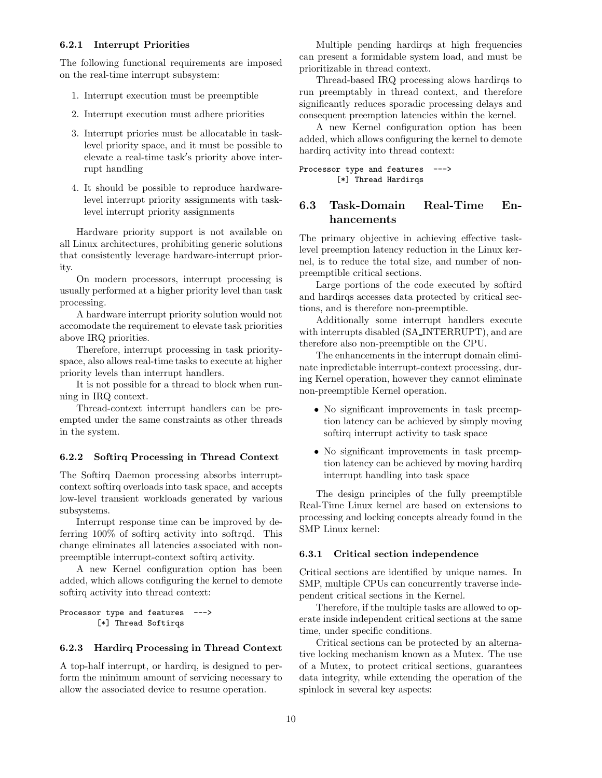#### 6.2.1 Interrupt Priorities

The following functional requirements are imposed on the real-time interrupt subsystem:

- 1. Interrupt execution must be preemptible
- 2. Interrupt execution must adhere priorities
- 3. Interrupt priories must be allocatable in tasklevel priority space, and it must be possible to elevate a real-time task's priority above interrupt handling
- 4. It should be possible to reproduce hardwarelevel interrupt priority assignments with tasklevel interrupt priority assignments

Hardware priority support is not available on all Linux architectures, prohibiting generic solutions that consistently leverage hardware-interrupt priority.

On modern processors, interrupt processing is usually performed at a higher priority level than task processing.

A hardware interrupt priority solution would not accomodate the requirement to elevate task priorities above IRQ priorities.

Therefore, interrupt processing in task priorityspace, also allows real-time tasks to execute at higher priority levels than interrupt handlers.

It is not possible for a thread to block when running in IRQ context.

Thread-context interrupt handlers can be preempted under the same constraints as other threads in the system.

### 6.2.2 Softirq Processing in Thread Context

The Softirq Daemon processing absorbs interruptcontext softirq overloads into task space, and accepts low-level transient workloads generated by various subsystems.

Interrupt response time can be improved by deferring 100% of softirq activity into softrqd. This change eliminates all latencies associated with nonpreemptible interrupt-context softirq activity.

A new Kernel configuration option has been added, which allows configuring the kernel to demote softirq activity into thread context:

```
Processor type and features --->
        [*] Thread Softirqs
```
#### 6.2.3 Hardirq Processing in Thread Context

A top-half interrupt, or hardirq, is designed to perform the minimum amount of servicing necessary to allow the associated device to resume operation.

Multiple pending hardirqs at high frequencies can present a formidable system load, and must be prioritizable in thread context.

Thread-based IRQ processing alows hardirqs to run preemptably in thread context, and therefore significantly reduces sporadic processing delays and consequent preemption latencies within the kernel.

A new Kernel configuration option has been added, which allows configuring the kernel to demote hardirq activity into thread context:

```
Processor type and features --->
        [*] Thread Hardirqs
```
# 6.3 Task-Domain Real-Time Enhancements

The primary objective in achieving effective tasklevel preemption latency reduction in the Linux kernel, is to reduce the total size, and number of nonpreemptible critical sections.

Large portions of the code executed by softird and hardirqs accesses data protected by critical sections, and is therefore non-preemptible.

Additionally some interrupt handlers execute with interrupts disabled (SA INTERRUPT), and are therefore also non-preemptible on the CPU.

The enhancements in the interrupt domain eliminate inpredictable interrupt-context processing, during Kernel operation, however they cannot eliminate non-preemptible Kernel operation.

- No significant improvements in task preemption latency can be achieved by simply moving softirq interrupt activity to task space
- No significant improvements in task preemption latency can be achieved by moving hardirq interrupt handling into task space

The design principles of the fully preemptible Real-Time Linux kernel are based on extensions to processing and locking concepts already found in the SMP Linux kernel:

#### 6.3.1 Critical section independence

Critical sections are identified by unique names. In SMP, multiple CPUs can concurrently traverse independent critical sections in the Kernel.

Therefore, if the multiple tasks are allowed to operate inside independent critical sections at the same time, under specific conditions.

Critical sections can be protected by an alternative locking mechanism known as a Mutex. The use of a Mutex, to protect critical sections, guarantees data integrity, while extending the operation of the spinlock in several key aspects: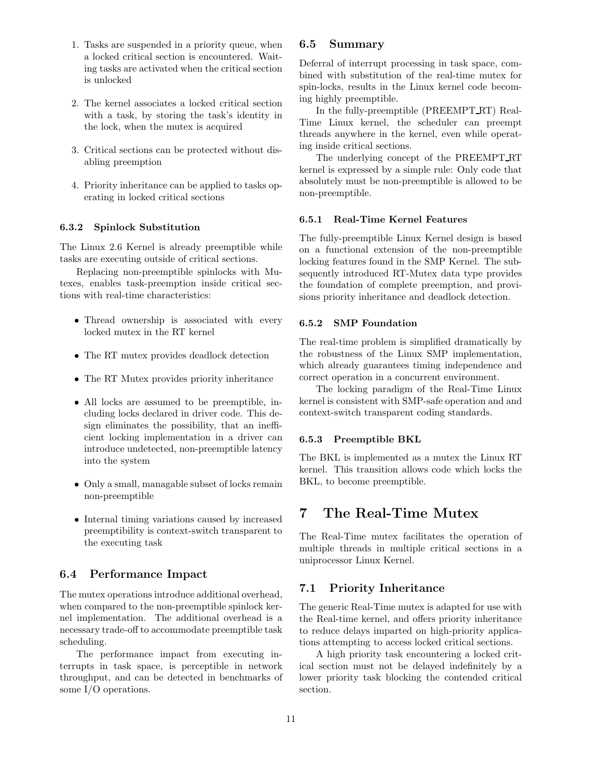- 1. Tasks are suspended in a priority queue, when a locked critical section is encountered. Waiting tasks are activated when the critical section is unlocked
- 2. The kernel associates a locked critical section with a task, by storing the task's identity in the lock, when the mutex is acquired
- 3. Critical sections can be protected without disabling preemption
- 4. Priority inheritance can be applied to tasks operating in locked critical sections

### 6.3.2 Spinlock Substitution

The Linux 2.6 Kernel is already preemptible while tasks are executing outside of critical sections.

Replacing non-preemptible spinlocks with Mutexes, enables task-preemption inside critical sections with real-time characteristics:

- Thread ownership is associated with every locked mutex in the RT kernel
- The RT mutex provides deadlock detection
- The RT Mutex provides priority inheritance
- All locks are assumed to be preemptible, including locks declared in driver code. This design eliminates the possibility, that an inefficient locking implementation in a driver can introduce undetected, non-preemptible latency into the system
- Only a small, managable subset of locks remain non-preemptible
- Internal timing variations caused by increased preemptibility is context-switch transparent to the executing task

## 6.4 Performance Impact

The mutex operations introduce additional overhead, when compared to the non-preemptible spinlock kernel implementation. The additional overhead is a necessary trade-off to accommodate preemptible task scheduling.

The performance impact from executing interrupts in task space, is perceptible in network throughput, and can be detected in benchmarks of some I/O operations.

### 6.5 Summary

Deferral of interrupt processing in task space, combined with substitution of the real-time mutex for spin-locks, results in the Linux kernel code becoming highly preemptible.

In the fully-preemptible (PREEMPT RT) Real-Time Linux kernel, the scheduler can preempt threads anywhere in the kernel, even while operating inside critical sections.

The underlying concept of the PREEMPT RT kernel is expressed by a simple rule: Only code that absolutely must be non-preemptible is allowed to be non-preemptible.

#### 6.5.1 Real-Time Kernel Features

The fully-preemptible Linux Kernel design is based on a functional extension of the non-preemptible locking features found in the SMP Kernel. The subsequently introduced RT-Mutex data type provides the foundation of complete preemption, and provisions priority inheritance and deadlock detection.

### 6.5.2 SMP Foundation

The real-time problem is simplified dramatically by the robustness of the Linux SMP implementation, which already guarantees timing independence and correct operation in a concurrent environment.

The locking paradigm of the Real-Time Linux kernel is consistent with SMP-safe operation and and context-switch transparent coding standards.

#### 6.5.3 Preemptible BKL

The BKL is implemented as a mutex the Linux RT kernel. This transition allows code which locks the BKL, to become preemptible.

# 7 The Real-Time Mutex

The Real-Time mutex facilitates the operation of multiple threads in multiple critical sections in a uniprocessor Linux Kernel.

### 7.1 Priority Inheritance

The generic Real-Time mutex is adapted for use with the Real-time kernel, and offers priority inheritance to reduce delays imparted on high-priority applications attempting to access locked critical sections.

A high priority task encountering a locked critical section must not be delayed indefinitely by a lower priority task blocking the contended critical section.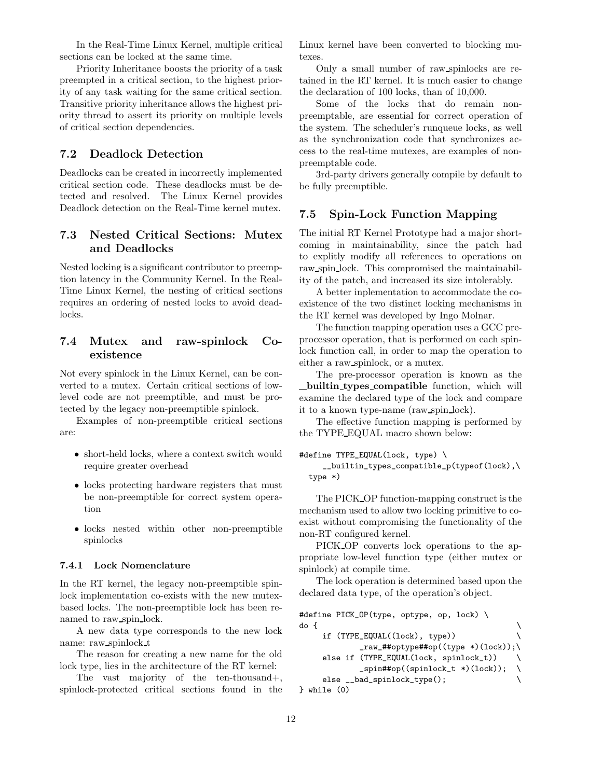In the Real-Time Linux Kernel, multiple critical sections can be locked at the same time.

Priority Inheritance boosts the priority of a task preempted in a critical section, to the highest priority of any task waiting for the same critical section. Transitive priority inheritance allows the highest priority thread to assert its priority on multiple levels of critical section dependencies.

## 7.2 Deadlock Detection

Deadlocks can be created in incorrectly implemented critical section code. These deadlocks must be detected and resolved. The Linux Kernel provides Deadlock detection on the Real-Time kernel mutex.

# 7.3 Nested Critical Sections: Mutex and Deadlocks

Nested locking is a significant contributor to preemption latency in the Community Kernel. In the Real-Time Linux Kernel, the nesting of critical sections requires an ordering of nested locks to avoid deadlocks.

# 7.4 Mutex and raw-spinlock Coexistence

Not every spinlock in the Linux Kernel, can be converted to a mutex. Certain critical sections of lowlevel code are not preemptible, and must be protected by the legacy non-preemptible spinlock.

Examples of non-preemptible critical sections are:

- short-held locks, where a context switch would require greater overhead
- locks protecting hardware registers that must be non-preemptible for correct system operation
- locks nested within other non-preemptible spinlocks

#### 7.4.1 Lock Nomenclature

In the RT kernel, the legacy non-preemptible spinlock implementation co-exists with the new mutexbased locks. The non-preemptible lock has been renamed to raw spin lock.

A new data type corresponds to the new lock name: raw spinlock t

The reason for creating a new name for the old lock type, lies in the architecture of the RT kernel:

The vast majority of the ten-thousand+, spinlock-protected critical sections found in the Linux kernel have been converted to blocking mutexes.

Only a small number of raw spinlocks are retained in the RT kernel. It is much easier to change the declaration of 100 locks, than of 10,000.

Some of the locks that do remain nonpreemptable, are essential for correct operation of the system. The scheduler's runqueue locks, as well as the synchronization code that synchronizes access to the real-time mutexes, are examples of nonpreemptable code.

3rd-party drivers generally compile by default to be fully preemptible.

### 7.5 Spin-Lock Function Mapping

The initial RT Kernel Prototype had a major shortcoming in maintainability, since the patch had to explitly modify all references to operations on raw spin lock. This compromised the maintainability of the patch, and increased its size intolerably.

A better inplementation to accommodate the coexistence of the two distinct locking mechanisms in the RT kernel was developed by Ingo Molnar.

The function mapping operation uses a GCC preprocessor operation, that is performed on each spinlock function call, in order to map the operation to either a raw spinlock, or a mutex.

The pre-processor operation is known as the builtin types compatible function, which will examine the declared type of the lock and compare it to a known type-name (raw spin lock).

The effective function mapping is performed by the TYPE EQUAL macro shown below:

```
#define TYPE_EQUAL(lock, type) \
```

```
__builtin_types_compatible_p(typeof(lock),\
type *)
```
The PICK OP function-mapping construct is the mechanism used to allow two locking primitive to coexist without compromising the functionality of the non-RT configured kernel.

PICK OP converts lock operations to the appropriate low-level function type (either mutex or spinlock) at compile time.

The lock operation is determined based upon the declared data type, of the operation's object.

```
#define PICK_OP(type, optype, op, lock) \
do { \qquad \qquad \backslashif (TYPE_EQUAL((lock), type)) \
           _raw_##optype##op((type *)(lock));\
    else if (TYPE_EQUAL(lock, spinlock_t))
           _spin##op((spinlock_t *)(lock)); \
    else __bad_spinlock_type(); \
} while (0)
```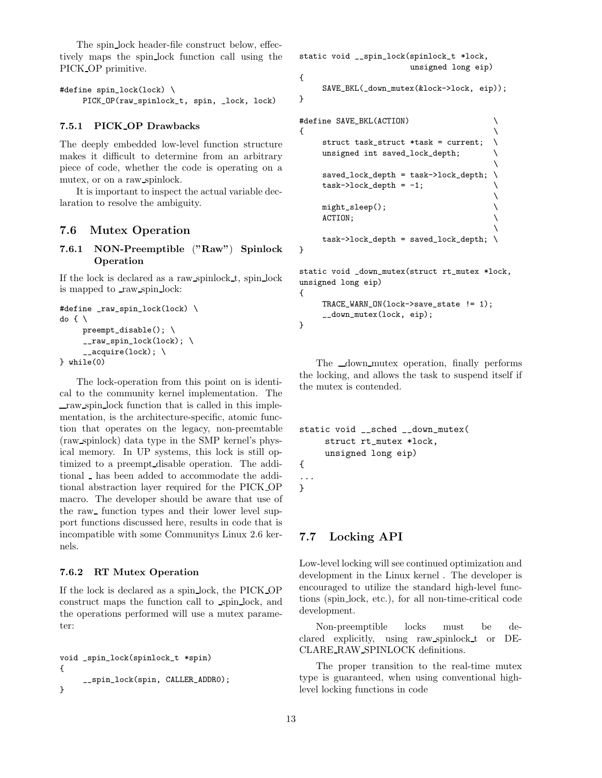The spin lock header-file construct below, effectively maps the spin lock function call using the PICK OP primitive.

```
#define spin_lock(lock) \
     PICK_OP(raw_spinlock_t, spin, _lock, lock)
```
#### 7.5.1 PICK OP Drawbacks

The deeply embedded low-level function structure makes it difficult to determine from an arbitrary piece of code, whether the code is operating on a mutex, or on a raw spinlock.

It is important to inspect the actual variable declaration to resolve the ambiguity.

#### 7.6 Mutex Operation

7.6.1 NON-Preemptible ("Raw") Spinlock Operation

If the lock is declared as a raw spinlock t, spin lock is mapped to raw spin lock:

```
#define _raw_spin_lock(lock) \
do {\setminuspreempt\_disable(); \
      __raw_spin_lock(lock); \
      _{-\alpha}cquire(lock); \
} while(0)
```
The lock-operation from this point on is identical to the community kernel implementation. The raw spin lock function that is called in this implementation, is the architecture-specific, atomic function that operates on the legacy, non-preemtable (raw spinlock) data type in the SMP kernel's physical memory. In UP systems, this lock is still optimized to a preempt disable operation. The additional  $\Box$  has been added to accommodate the additional abstraction layer required for the PICK OP macro. The developer should be aware that use of the raw function types and their lower level support functions discussed here, results in code that is incompatible with some Communitys Linux 2.6 kernels.

#### 7.6.2 RT Mutex Operation

If the lock is declared as a spin lock, the PICK OP construct maps the function call to spin lock, and the operations performed will use a mutex parameter:

```
void _spin_lock(spinlock_t *spin)
{
     __spin_lock(spin, CALLER_ADDR0);
}
```

```
static void __spin_lock(spinlock_t *lock,
                        unsigned long eip)
{
     SAVE_BKL(_down_mutex(&lock->lock, eip));
}
```

```
#define SAVE_BKL(ACTION) \
\{ \}struct task_struct *task = current; \setminusunsigned int saved_lock_depth;
                             \
   saved_lock_depth = task->lock_depth; \
   task-\text{block\_depth} = -1;\
   might_sleep();
   ACTION;
                             \setminustask->lock_depth = saved_lock_depth; \
```
static void \_down\_mutex(struct rt\_mutex \*lock, unsigned long eip) {

```
TRACE_WARN_ON(lock->save_state != 1);
__down_mutex(lock, eip);
```
The  $_{\text{down-mutes}}$  operation, finally performs the locking, and allows the task to suspend itself if the mutex is contended.

```
static void __sched __down_mutex(
     struct rt_mutex *lock,
     unsigned long eip)
{
...
}
```
## 7.7 Locking API

Low-level locking will see continued optimization and development in the Linux kernel . The developer is encouraged to utilize the standard high-level functions (spin lock, etc.), for all non-time-critical code development.

Non-preemptible locks must be declared explicitly, using raw spinlock t or DE-CLARE RAW SPINLOCK definitions.

The proper transition to the real-time mutex type is guaranteed, when using conventional highlevel locking functions in code

}

}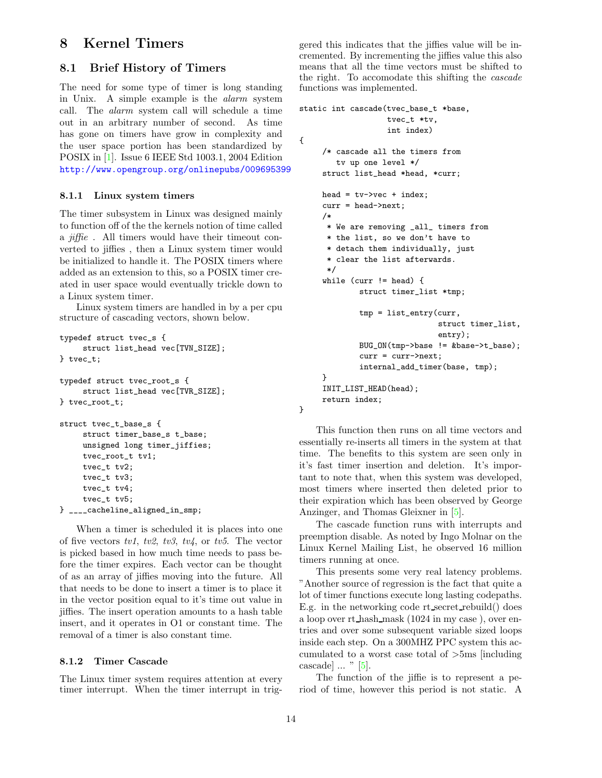# 8 Kernel Timers

## 8.1 Brief History of Timers

The need for some type of timer is long standing in Unix. A simple example is the alarm system call. The alarm system call will schedule a time out in an arbitrary number of second. As time has gone on timers have grow in complexity and the user space portion has been standardized by POSIX in [\[1\]](#page-17-2). Issue 6 IEEE Std 1003.1, 2004 Edition <http://www.opengroup.org/onlinepubs/009695399>

#### 8.1.1 Linux system timers

The timer subsystem in Linux was designed mainly to function off of the the kernels notion of time called a jiffie . All timers would have their timeout converted to jiffies , then a Linux system timer would be initialized to handle it. The POSIX timers where added as an extension to this, so a POSIX timer created in user space would eventually trickle down to a Linux system timer.

Linux system timers are handled in by a per cpu structure of cascading vectors, shown below.

```
typedef struct tvec_s {
     struct list_head vec[TVN_SIZE];
} tvec_t;
typedef struct tvec_root_s {
     struct list_head vec[TVR_SIZE];
} tvec_root_t;
struct tvec_t_base_s {
     struct timer_base_s t_base;
     unsigned long timer_jiffies;
     tvec_root_t tv1;
     tvec_t tv2;
     tvec t tv3:
     tvec_t tv4;
     tvec_t tv5;
} ____cacheline_aligned_in_smp;
```
When a timer is scheduled it is places into one of five vectors tv1, tv2, tv3, tv4, or tv5. The vector is picked based in how much time needs to pass before the timer expires. Each vector can be thought of as an array of jiffies moving into the future. All that needs to be done to insert a timer is to place it in the vector position equal to it's time out value in jiffies. The insert operation amounts to a hash table insert, and it operates in O1 or constant time. The removal of a timer is also constant time.

#### 8.1.2 Timer Cascade

The Linux timer system requires attention at every timer interrupt. When the timer interrupt in triggered this indicates that the jiffies value will be incremented. By incrementing the jiffies value this also means that all the time vectors must be shifted to the right. To accomodate this shifting the cascade functions was implemented.

```
static int cascade(tvec_base_t *base,
                    tvec_t *tv,
                    int index)
{
     /* cascade all the timers from
        tv up one level */
     struct list_head *head, *curr;
     head = tv\rightarrowvec + index;
     curr = head->next;
     /*
      * We are removing _all_ timers from
      * the list, so we don't have to
      * detach them individually, just
      * clear the list afterwards.
      */
     while (curr != head) {
             struct timer_list *tmp;
             tmp = list_entry(curr,
                               struct timer_list,
                               entry);
             BUG_ON(tmp->base != &base->t_base);
             curr = curr->next;
             internal_add_timer(base, tmp);
     }
     INIT_LIST_HEAD(head);
     return index;
}
```
This function then runs on all time vectors and essentially re-inserts all timers in the system at that time. The benefits to this system are seen only in it's fast timer insertion and deletion. It's important to note that, when this system was developed, most timers where inserted then deleted prior to their expiration which has been observed by George Anzinger, and Thomas Gleixner in [\[5\]](#page-17-3).

The cascade function runs with interrupts and preemption disable. As noted by Ingo Molnar on the Linux Kernel Mailing List, he observed 16 million timers running at once.

This presents some very real latency problems. "Another source of regression is the fact that quite a lot of timer functions execute long lasting codepaths. E.g. in the networking code rt secret rebuild() does a loop over rt hash mask (1024 in my case ), over entries and over some subsequent variable sized loops inside each step. On a 300MHZ PPC system this accumulated to a worst case total of >5ms [including cascade] ... " [\[5\]](#page-17-3).

The function of the jiffie is to represent a period of time, however this period is not static. A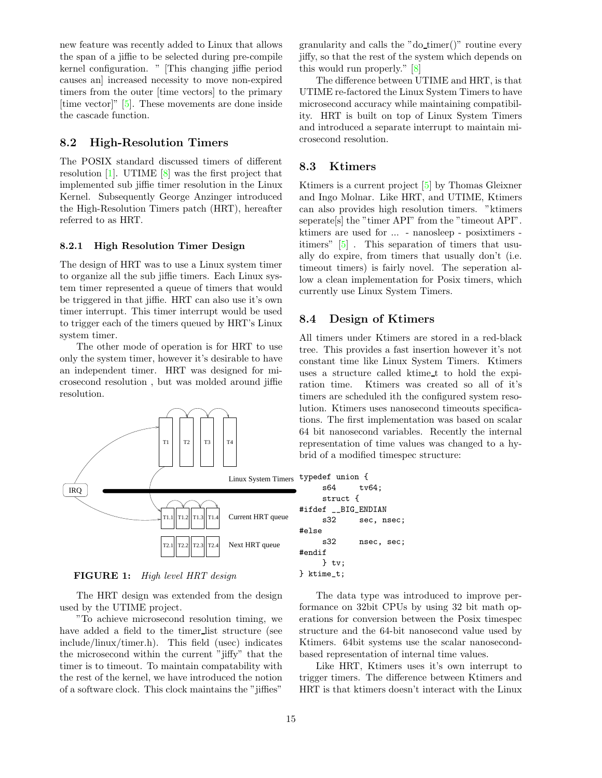new feature was recently added to Linux that allows the span of a jiffie to be selected during pre-compile kernel configuration. " [This changing jiffie period causes an] increased necessity to move non-expired timers from the outer [time vectors] to the primary [time vector]" [\[5\]](#page-17-3). These movements are done inside the cascade function.

# 8.2 High-Resolution Timers

The POSIX standard discussed timers of different resolution [\[1\]](#page-17-2). UTIME [\[8\]](#page-17-4) was the first project that implemented sub jiffie timer resolution in the Linux Kernel. Subsequently George Anzinger introduced the High-Resolution Timers patch (HRT), hereafter referred to as HRT.

### 8.2.1 High Resolution Timer Design

The design of HRT was to use a Linux system timer to organize all the sub jiffie timers. Each Linux system timer represented a queue of timers that would be triggered in that jiffie. HRT can also use it's own timer interrupt. This timer interrupt would be used to trigger each of the timers queued by HRT's Linux system timer.

The other mode of operation is for HRT to use only the system timer, however it's desirable to have an independent timer. HRT was designed for microsecond resolution , but was molded around jiffie resolution.



FIGURE 1: High level HRT design

The HRT design was extended from the design used by the UTIME project.

"To achieve microsecond resolution timing, we have added a field to the timer list structure (see include/linux/timer.h). This field (usec) indicates the microsecond within the current "jiffy" that the timer is to timeout. To maintain compatability with the rest of the kernel, we have introduced the notion of a software clock. This clock maintains the "jiffies"

granularity and calls the "do timer()" routine every jiffy, so that the rest of the system which depends on this would run properly." [\[8\]](#page-17-4)

The difference between UTIME and HRT, is that UTIME re-factored the Linux System Timers to have microsecond accuracy while maintaining compatibility. HRT is built on top of Linux System Timers and introduced a separate interrupt to maintain microsecond resolution.

### 8.3 Ktimers

Ktimers is a current project [\[5\]](#page-17-3) by Thomas Gleixner and Ingo Molnar. Like HRT, and UTIME, Ktimers can also provides high resolution timers. "ktimers seperate[s] the "timer API" from the "timeout API". ktimers are used for ... - nanosleep - posixtimers itimers" [\[5\]](#page-17-3) . This separation of timers that usually do expire, from timers that usually don't (i.e. timeout timers) is fairly novel. The seperation allow a clean implementation for Posix timers, which currently use Linux System Timers.

### 8.4 Design of Ktimers

All timers under Ktimers are stored in a red-black tree. This provides a fast insertion however it's not constant time like Linux System Timers. Ktimers uses a structure called ktime t to hold the expiration time. Ktimers was created so all of it's timers are scheduled ith the configured system resolution. Ktimers uses nanosecond timeouts specifications. The first implementation was based on scalar 64 bit nanosecond variables. Recently the internal representation of time values was changed to a hybrid of a modified timespec structure:

```
typedef union {
    s64 tv64;
    struct {
#ifdef __BIG_ENDIAN
    s32 sec, nsec;
#else
    s32 nsec, sec;
#endif
    } tv;
} ktime_t;
```
The data type was introduced to improve performance on 32bit CPUs by using 32 bit math operations for conversion between the Posix timespec structure and the 64-bit nanosecond value used by Ktimers. 64bit systems use the scalar nanosecondbased representation of internal time values.

Like HRT, Ktimers uses it's own interrupt to trigger timers. The difference between Ktimers and HRT is that ktimers doesn't interact with the Linux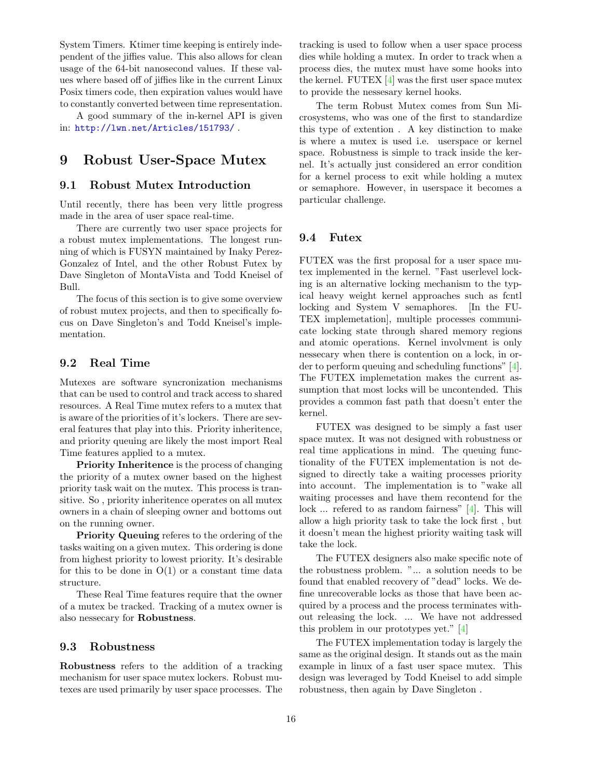System Timers. Ktimer time keeping is entirely independent of the jiffies value. This also allows for clean usage of the 64-bit nanosecond values. If these values where based off of jiffies like in the current Linux Posix timers code, then expiration values would have to constantly converted between time representation.

A good summary of the in-kernel API is given in: <http://lwn.net/Articles/151793/> .

# 9 Robust User-Space Mutex

# 9.1 Robust Mutex Introduction

Until recently, there has been very little progress made in the area of user space real-time.

There are currently two user space projects for a robust mutex implementations. The longest running of which is FUSYN maintained by Inaky Perez-Gonzalez of Intel, and the other Robust Futex by Dave Singleton of MontaVista and Todd Kneisel of Bull.

The focus of this section is to give some overview of robust mutex projects, and then to specifically focus on Dave Singleton's and Todd Kneisel's implementation.

# 9.2 Real Time

Mutexes are software syncronization mechanisms that can be used to control and track access to shared resources. A Real Time mutex refers to a mutex that is aware of the priorities of it's lockers. There are several features that play into this. Priority inheritence, and priority queuing are likely the most import Real Time features applied to a mutex.

Priority Inheritence is the process of changing the priority of a mutex owner based on the highest priority task wait on the mutex. This process is transitive. So , priority inheritence operates on all mutex owners in a chain of sleeping owner and bottoms out on the running owner.

Priority Queuing referes to the ordering of the tasks waiting on a given mutex. This ordering is done from highest priority to lowest priority. It's desirable for this to be done in  $O(1)$  or a constant time data structure.

These Real Time features require that the owner of a mutex be tracked. Tracking of a mutex owner is also nessecary for Robustness.

### 9.3 Robustness

Robustness refers to the addition of a tracking mechanism for user space mutex lockers. Robust mutexes are used primarily by user space processes. The tracking is used to follow when a user space process dies while holding a mutex. In order to track when a process dies, the mutex must have some hooks into the kernel. FUTEX [\[4\]](#page-17-5) was the first user space mutex to provide the nessesary kernel hooks.

The term Robust Mutex comes from Sun Microsystems, who was one of the first to standardize this type of extention . A key distinction to make is where a mutex is used i.e. userspace or kernel space. Robustness is simple to track inside the kernel. It's actually just considered an error condition for a kernel process to exit while holding a mutex or semaphore. However, in userspace it becomes a particular challenge.

### 9.4 Futex

FUTEX was the first proposal for a user space mutex implemented in the kernel. "Fast userlevel locking is an alternative locking mechanism to the typical heavy weight kernel approaches such as fcntl locking and System V semaphores. [In the FU-TEX implemetation], multiple processes communicate locking state through shared memory regions and atomic operations. Kernel involvment is only nessecary when there is contention on a lock, in order to perform queuing and scheduling functions" [\[4\]](#page-17-5). The FUTEX implemetation makes the current assumption that most locks will be uncontended. This provides a common fast path that doesn't enter the kernel.

FUTEX was designed to be simply a fast user space mutex. It was not designed with robustness or real time applications in mind. The queuing functionality of the FUTEX implementation is not designed to directly take a waiting processes priority into account. The implementation is to "wake all waiting processes and have them recontend for the lock ... refered to as random fairness" [\[4\]](#page-17-5). This will allow a high priority task to take the lock first , but it doesn't mean the highest priority waiting task will take the lock.

The FUTEX designers also make specific note of the robustness problem. "... a solution needs to be found that enabled recovery of "dead" locks. We define unrecoverable locks as those that have been acquired by a process and the process terminates without releasing the lock. ... We have not addressed this problem in our prototypes yet." [\[4\]](#page-17-5)

The FUTEX implementation today is largely the same as the original design. It stands out as the main example in linux of a fast user space mutex. This design was leveraged by Todd Kneisel to add simple robustness, then again by Dave Singleton .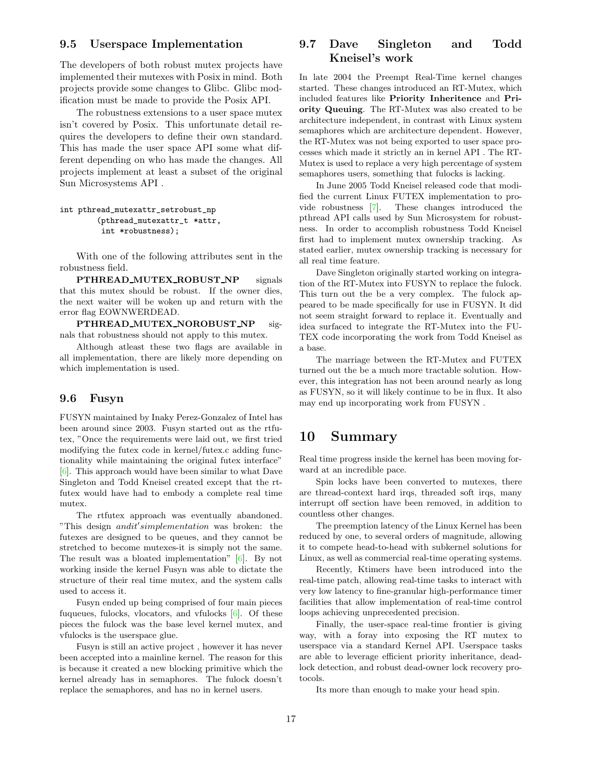### 9.5 Userspace Implementation

The developers of both robust mutex projects have implemented their mutexes with Posix in mind. Both projects provide some changes to Glibc. Glibc modification must be made to provide the Posix API.

The robustness extensions to a user space mutex isn't covered by Posix. This unfortunate detail requires the developers to define their own standard. This has made the user space API some what different depending on who has made the changes. All projects implement at least a subset of the original Sun Microsystems API .

```
int pthread_mutexattr_setrobust_np
        (pthread_mutexattr_t *attr,
         int *robustness);
```
With one of the following attributes sent in the robustness field.

PTHREAD MUTEX ROBUST NP signals that this mutex should be robust. If the owner dies, the next waiter will be woken up and return with the error flag EOWNWERDEAD.

PTHREAD MUTEX NOROBUST NP signals that robustness should not apply to this mutex.

Although atleast these two flags are available in all implementation, there are likely more depending on which implementation is used.

### 9.6 Fusyn

FUSYN maintained by Inaky Perez-Gonzalez of Intel has been around since 2003. Fusyn started out as the rtfutex, "Once the requirements were laid out, we first tried modifying the futex code in kernel/futex.c adding functionality while maintaining the original futex interface" [\[6\]](#page-17-6). This approach would have been similar to what Dave Singleton and Todd Kneisel created except that the rtfutex would have had to embody a complete real time mutex.

The rtfutex approach was eventually abandoned. "This design  $and it's implementation$  was broken: the futexes are designed to be queues, and they cannot be stretched to become mutexes-it is simply not the same. The result was a bloated implementation" [\[6\]](#page-17-6). By not working inside the kernel Fusyn was able to dictate the structure of their real time mutex, and the system calls used to access it.

Fusyn ended up being comprised of four main pieces fuqueues, fulocks, vlocators, and vfulocks [\[6\]](#page-17-6). Of these pieces the fulock was the base level kernel mutex, and vfulocks is the userspace glue.

Fusyn is still an active project , however it has never been accepted into a mainline kernel. The reason for this is because it created a new blocking primitive which the kernel already has in semaphores. The fulock doesn't replace the semaphores, and has no in kernel users.

# 9.7 Dave Singleton and Todd Kneisel's work

In late 2004 the Preempt Real-Time kernel changes started. These changes introduced an RT-Mutex, which included features like Priority Inheritence and Priority Queuing. The RT-Mutex was also created to be architecture independent, in contrast with Linux system semaphores which are architecture dependent. However, the RT-Mutex was not being exported to user space processes which made it strictly an in kernel API . The RT-Mutex is used to replace a very high percentage of system semaphores users, something that fulocks is lacking.

In June 2005 Todd Kneisel released code that modified the current Linux FUTEX implementation to provide robustness [\[7\]](#page-17-7). These changes introduced the pthread API calls used by Sun Microsystem for robustness. In order to accomplish robustness Todd Kneisel first had to implement mutex ownership tracking. As stated earlier, mutex ownership tracking is necessary for all real time feature.

Dave Singleton originally started working on integration of the RT-Mutex into FUSYN to replace the fulock. This turn out the be a very complex. The fulock appeared to be made specifically for use in FUSYN. It did not seem straight forward to replace it. Eventually and idea surfaced to integrate the RT-Mutex into the FU-TEX code incorporating the work from Todd Kneisel as a base.

The marriage between the RT-Mutex and FUTEX turned out the be a much more tractable solution. However, this integration has not been around nearly as long as FUSYN, so it will likely continue to be in flux. It also may end up incorporating work from FUSYN .

# 10 Summary

Real time progress inside the kernel has been moving forward at an incredible pace.

Spin locks have been converted to mutexes, there are thread-context hard irqs, threaded soft irqs, many interrupt off section have been removed, in addition to countless other changes.

The preemption latency of the Linux Kernel has been reduced by one, to several orders of magnitude, allowing it to compete head-to-head with subkernel solutions for Linux, as well as commercial real-time operating systems.

Recently, Ktimers have been introduced into the real-time patch, allowing real-time tasks to interact with very low latency to fine-granular high-performance timer facilities that allow implementation of real-time control loops achieving unprecedented precision.

Finally, the user-space real-time frontier is giving way, with a foray into exposing the RT mutex to userspace via a standard Kernel API. Userspace tasks are able to leverage efficient priority inheritance, deadlock detection, and robust dead-owner lock recovery protocols.

Its more than enough to make your head spin.